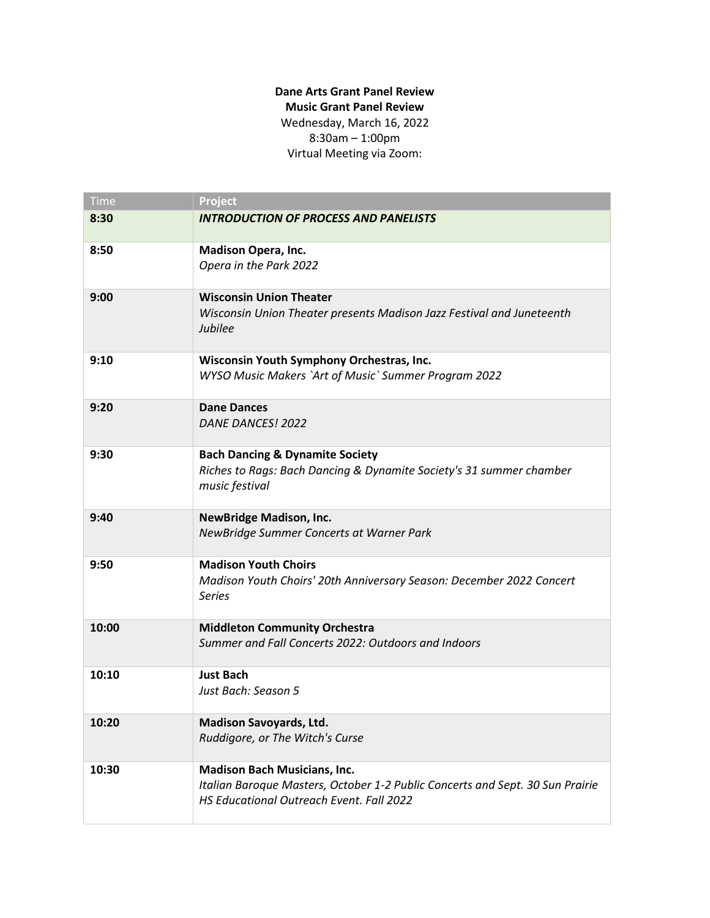## **Dane Arts Grant Panel Review Music Grant Panel Review** Wednesday, March 16, 2022 8:30am – 1:00pm Virtual Meeting via Zoom:

| <b>Time</b> | Project                                                                                                                                                          |
|-------------|------------------------------------------------------------------------------------------------------------------------------------------------------------------|
| 8:30        | <b>INTRODUCTION OF PROCESS AND PANELISTS</b>                                                                                                                     |
| 8:50        | <b>Madison Opera, Inc.</b><br>Opera in the Park 2022                                                                                                             |
| 9:00        | <b>Wisconsin Union Theater</b><br>Wisconsin Union Theater presents Madison Jazz Festival and Juneteenth<br>Jubilee                                               |
| 9:10        | Wisconsin Youth Symphony Orchestras, Inc.<br>WYSO Music Makers `Art of Music` Summer Program 2022                                                                |
| 9:20        | <b>Dane Dances</b><br>DANE DANCES! 2022                                                                                                                          |
| 9:30        | <b>Bach Dancing &amp; Dynamite Society</b><br>Riches to Rags: Bach Dancing & Dynamite Society's 31 summer chamber<br>music festival                              |
| 9:40        | <b>NewBridge Madison, Inc.</b><br>NewBridge Summer Concerts at Warner Park                                                                                       |
| 9:50        | <b>Madison Youth Choirs</b><br>Madison Youth Choirs' 20th Anniversary Season: December 2022 Concert<br><b>Series</b>                                             |
| 10:00       | <b>Middleton Community Orchestra</b><br>Summer and Fall Concerts 2022: Outdoors and Indoors                                                                      |
| 10:10       | <b>Just Bach</b><br>Just Bach: Season 5                                                                                                                          |
| 10:20       | <b>Madison Savoyards, Ltd.</b><br>Ruddigore, or The Witch's Curse                                                                                                |
| 10:30       | <b>Madison Bach Musicians, Inc.</b><br>Italian Baroque Masters, October 1-2 Public Concerts and Sept. 30 Sun Prairie<br>HS Educational Outreach Event. Fall 2022 |